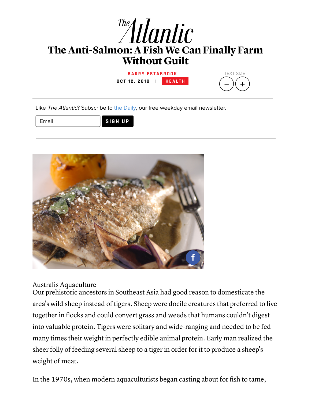

**O C T 1 2 , 2 0 1 0 | [H](http://www.theatlantic.com/health/) E A L T H**



Like The Atlantic? Subscribe to the [Daily,](http://www.theatlantic.com/newsletters/daily/) our free weekday email newsletter.

Email **SIGN UP**



Australis Aquaculture

Our prehistoric ancestors in Southeast Asia had good reason to domesticate the area's wild sheep instead of tigers. Sheep were docile creatures that preferred to live together in flocks and could convert grass and weeds that humans couldn't digest into valuable protein. Tigers were solitary and wide-ranging and needed to be fed many times their weight in perfectly edible animal protein. Early man realized the sheer folly of feeding several sheep to a tiger in order for it to produce a sheep's weight of meat.

In the 1970s, when modern aquaculturists began casting about for fish to tame,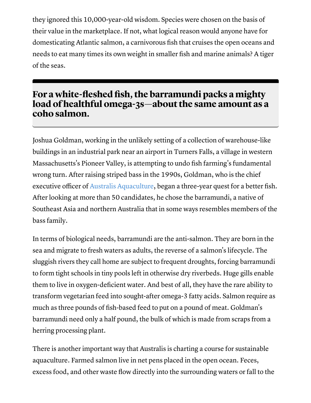they ignored this 10,000-year-old wisdom. Species were chosen on the basis of their value in the marketplace. If not, what logical reason would anyone have for domesticating Atlantic salmon, a carnivorous fish that cruises the open oceans and needs to eat many times its own weight in smaller fish and marine animals? A tiger of the seas.

## For a white-fleshed fish, the barramundi packs a mighty load of healthful omega-3s-about the same amount as a coho salmon.

Joshua Goldman, working in the unlikely setting of a collection of warehouse-like buildings in an industrial park near an airport in Turners Falls, a village in western Massachusetts's Pioneer Valley, is attempting to undo fish farming's fundamental wrong turn. After raising striped bass in the 1990s, Goldman, who is the chief executive officer of Australis [Aquaculture,](http://www.thebetterfish.com/) began a three-year quest for a better fish. After looking at more than 50 candidates, he chose the barramundi, a native of Southeast Asia and northern Australia that in some ways resembles members of the bass family.

In terms of biological needs, barramundi are the anti-salmon. They are born in the sea and migrate to fresh waters as adults, the reverse of a salmon's lifecycle. The sluggish rivers they call home are subject to frequent droughts, forcing barramundi to form tight schools in tiny pools left in otherwise dry riverbeds. Huge gills enable them to live in oxygen-deficient water. And best of all, they have the rare ability to transform vegetarian feed into sought-after omega-3 fatty acids. Salmon require as much as three pounds of fish-based feed to put on a pound of meat. Goldman's barramundi need only a half pound, the bulk of which is made from scraps from a herring processing plant.

There is another important way that Australis is charting a course for sustainable aquaculture. Farmed salmon live in net pens placed in the open ocean. Feces, excess food, and other waste flow directly into the surrounding waters or fall to the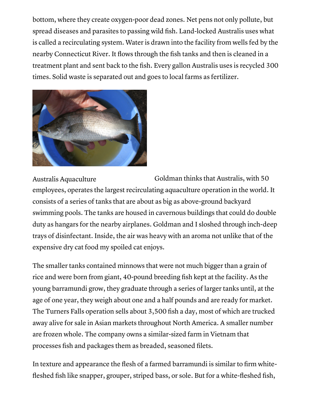bottom, where they create oxygen-poor dead zones. Net pens not only pollute, but spread diseases and parasites to passing wild fish. Land-locked Australis uses what is called a recirculating system. Water is drawn into the facility from wells fed by the nearby Connecticut River. It flows through the fish tanks and then is cleaned in a treatment plant and sent back to the fish. Every gallon Australis uses is recycled 300 times. Solid waste is separated out and goes to local farms as fertilizer.



Australis Aquaculture Goldman thinks that Australis, with 50 employees, operates the largest recirculating aquaculture operation in the world. It consists of a series of tanks that are about as big as above-ground backyard swimming pools. The tanks are housed in cavernous buildings that could do double duty as hangars for the nearby airplanes. Goldman and I sloshed through inch-deep trays of disinfectant. Inside, the air was heavy with an aroma not unlike that of the expensive dry cat food my spoiled cat enjoys.

The smaller tanks contained minnows that were not much bigger than a grain of rice and were born from giant, 40-pound breeding fish kept at the facility. As the young barramundi grow, they graduate through a series of larger tanks until, at the age of one year, they weigh about one and a half pounds and are ready for market. The Turners Falls operation sells about 3,500 fish a day, most of which are trucked away alive for sale in Asian markets throughout North America. A smaller number are frozen whole. The company owns a similar-sized farm in Vietnam that processes fish and packages them as breaded, seasoned filets.

In texture and appearance the flesh of a farmed barramundi is similar to firm whitefleshed fish like snapper, grouper, striped bass, or sole. But for a white-fleshed fish,